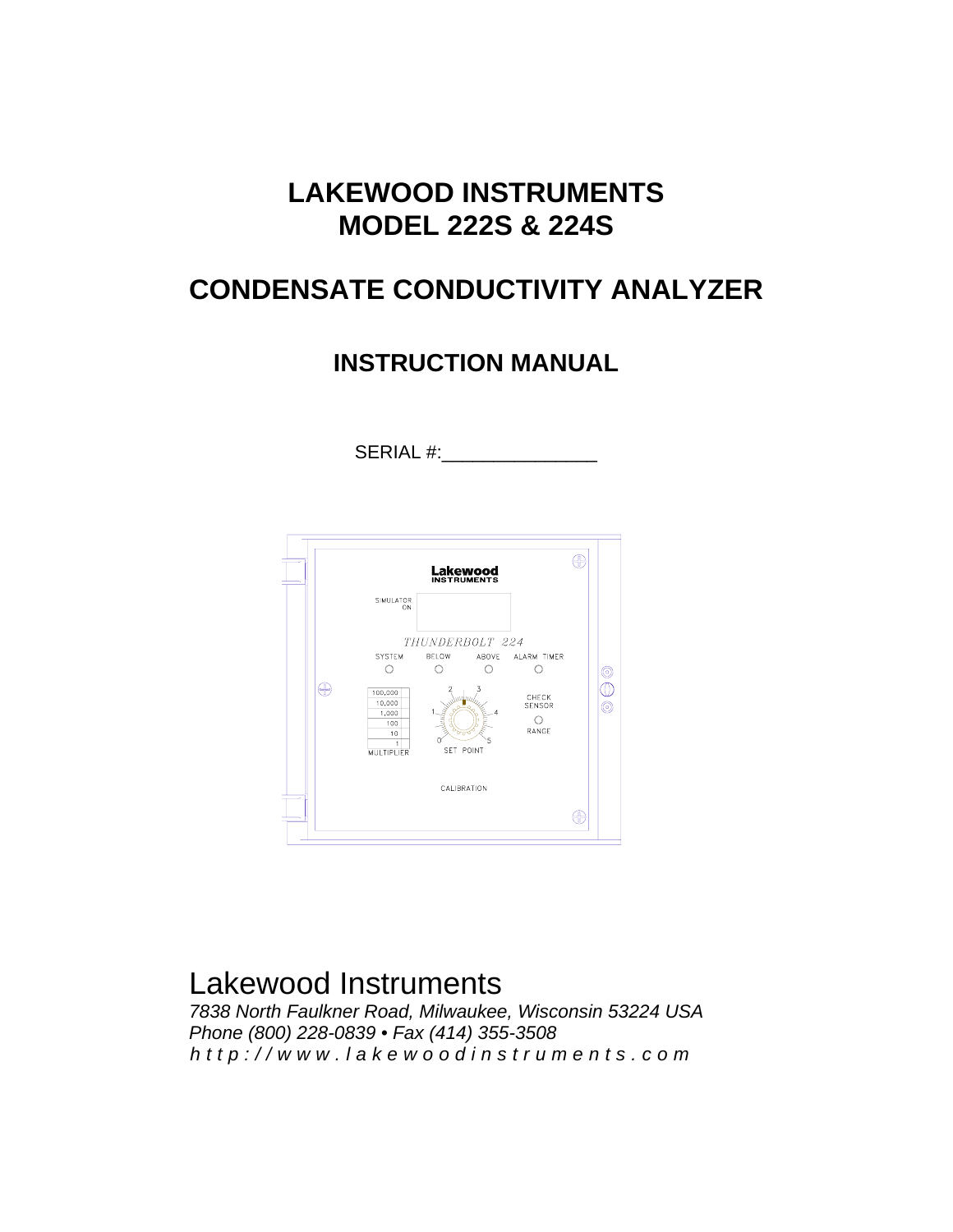## **LAKEWOOD INSTRUMENTS MODEL 222S & 224S**

# **CONDENSATE CONDUCTIVITY ANALYZER**

### **INSTRUCTION MANUAL**

SERIAL #:



# Lakewood Instruments

*7838 North Faulkner Road, Milwaukee, Wisconsin 53224 USA Phone (800) 228-0839 • Fax (414) 355-3508 http://www.lakewoodinstrum ents.com*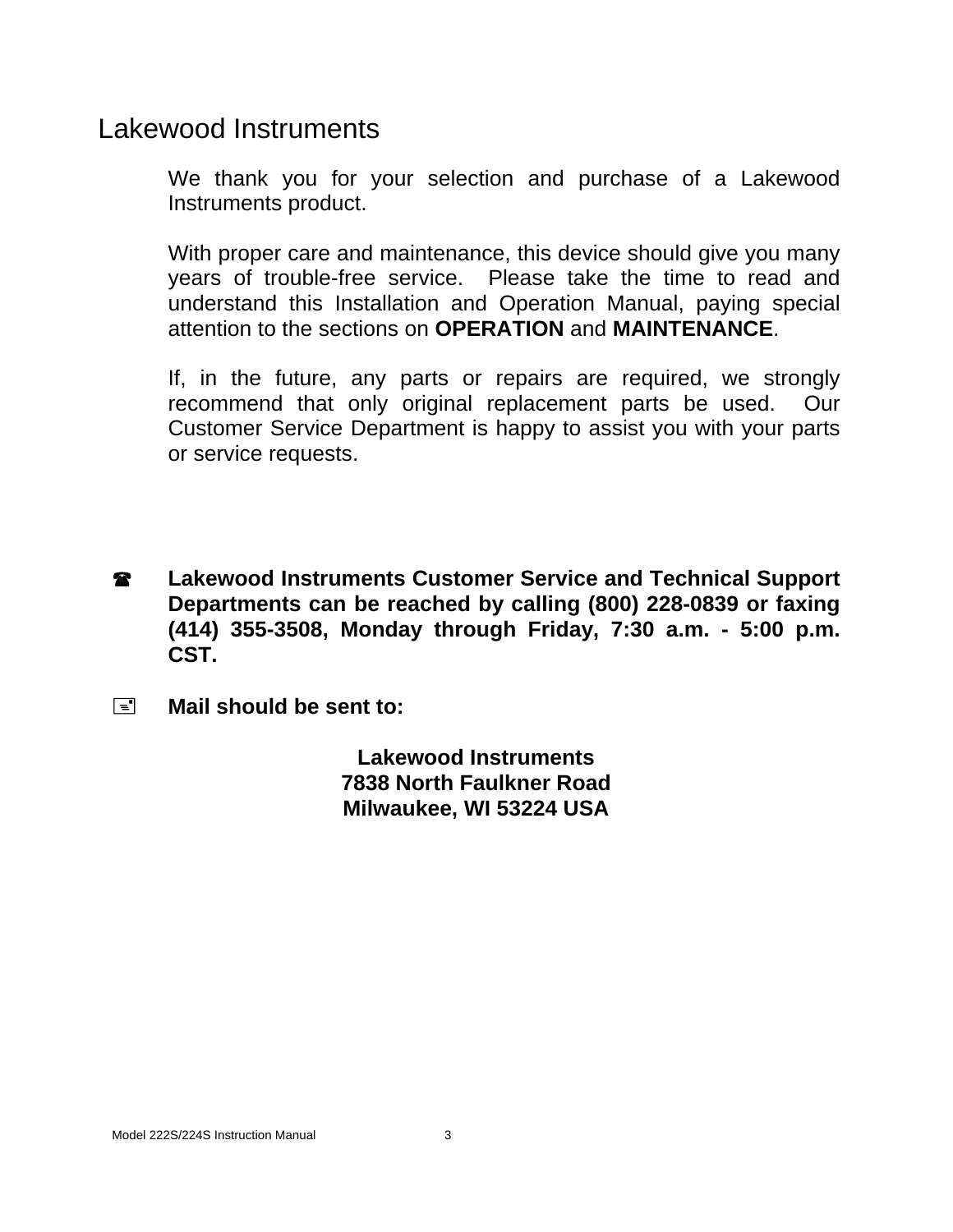## Lakewood Instruments

We thank you for your selection and purchase of a Lakewood Instruments product.

With proper care and maintenance, this device should give you many years of trouble-free service. Please take the time to read and understand this Installation and Operation Manual, paying special attention to the sections on **OPERATION** and **MAINTENANCE**.

If, in the future, any parts or repairs are required, we strongly recommend that only original replacement parts be used. Our Customer Service Department is happy to assist you with your parts or service requests.

- **2** Lakewood Instruments Customer Service and Technical Support **Departments can be reached by calling (800) 228-0839 or faxing (414) 355-3508, Monday through Friday, 7:30 a.m. - 5:00 p.m. CST.**
- **Mail should be sent to:**

**Lakewood Instruments 7838 North Faulkner Road Milwaukee, WI 53224 USA**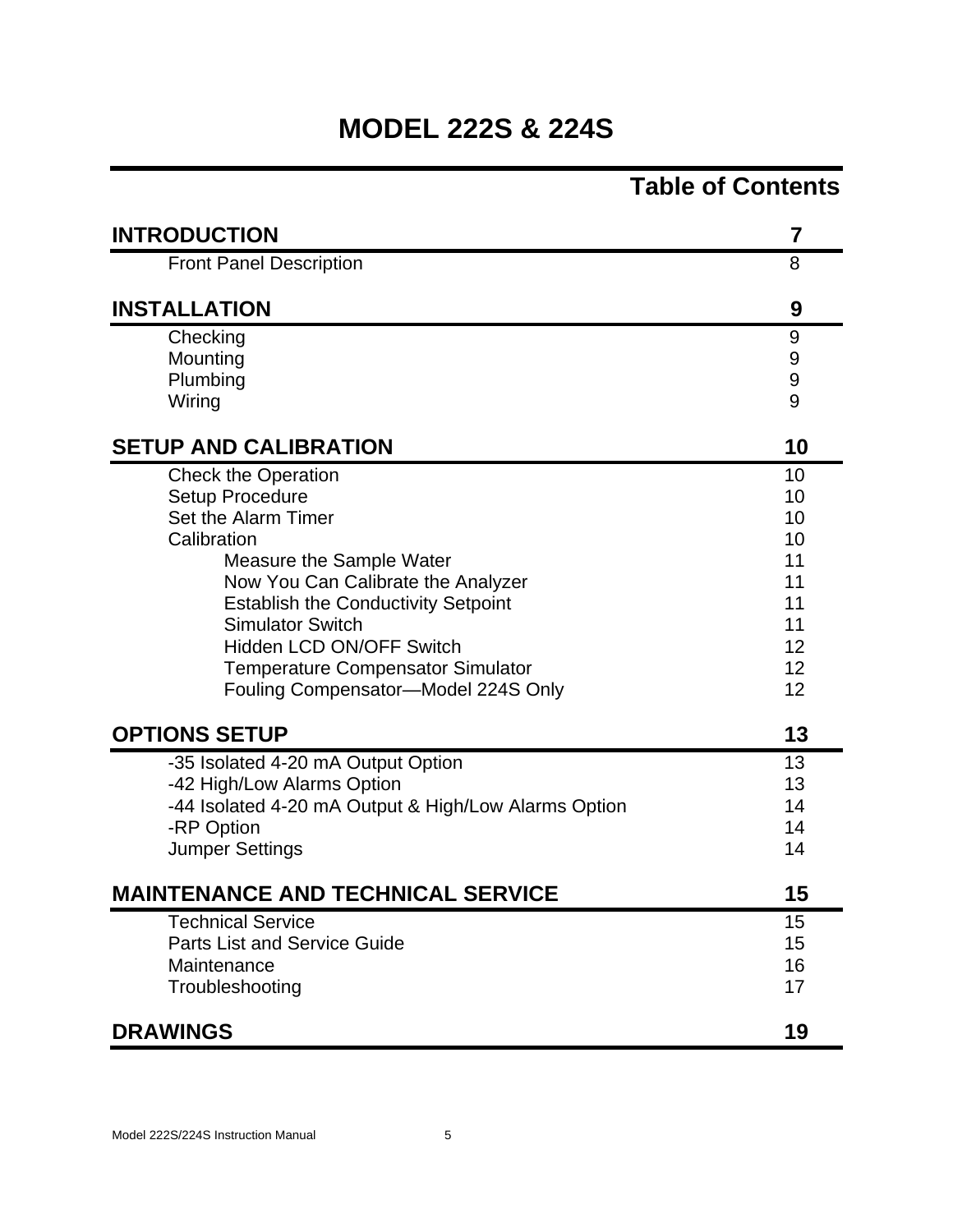# **MODEL 222S & 224S**

|                                                      | <b>Table of Contents</b> |
|------------------------------------------------------|--------------------------|
| <b>INTRODUCTION</b>                                  | 7                        |
| <b>Front Panel Description</b>                       | 8                        |
| <b>INSTALLATION</b>                                  | 9                        |
| Checking                                             | 9                        |
| Mounting                                             | 9                        |
| Plumbing                                             | 9                        |
| Wiring                                               | 9                        |
| <b>SETUP AND CALIBRATION</b>                         | 10                       |
| <b>Check the Operation</b>                           | 10                       |
| Setup Procedure                                      | 10                       |
| Set the Alarm Timer                                  | 10                       |
| Calibration                                          | 10                       |
| Measure the Sample Water                             | 11                       |
| Now You Can Calibrate the Analyzer                   | 11                       |
| <b>Establish the Conductivity Setpoint</b>           | 11                       |
| <b>Simulator Switch</b>                              | 11                       |
| <b>Hidden LCD ON/OFF Switch</b>                      | 12                       |
| <b>Temperature Compensator Simulator</b>             | 12                       |
| Fouling Compensator-Model 224S Only                  | 12                       |
| <b>OPTIONS SETUP</b>                                 | 13                       |
| -35 Isolated 4-20 mA Output Option                   | 13                       |
| -42 High/Low Alarms Option                           | 13                       |
| -44 Isolated 4-20 mA Output & High/Low Alarms Option | 14                       |
| -RP Option                                           | 14                       |
| <b>Jumper Settings</b>                               | 14                       |
| <b>MAINTENANCE AND TECHNICAL SERVICE</b>             | 15                       |
| <b>Technical Service</b>                             | 15                       |
| <b>Parts List and Service Guide</b>                  | 15                       |
| Maintenance                                          | 16                       |
| Troubleshooting                                      | 17                       |
| <b>DRAWINGS</b>                                      | 19                       |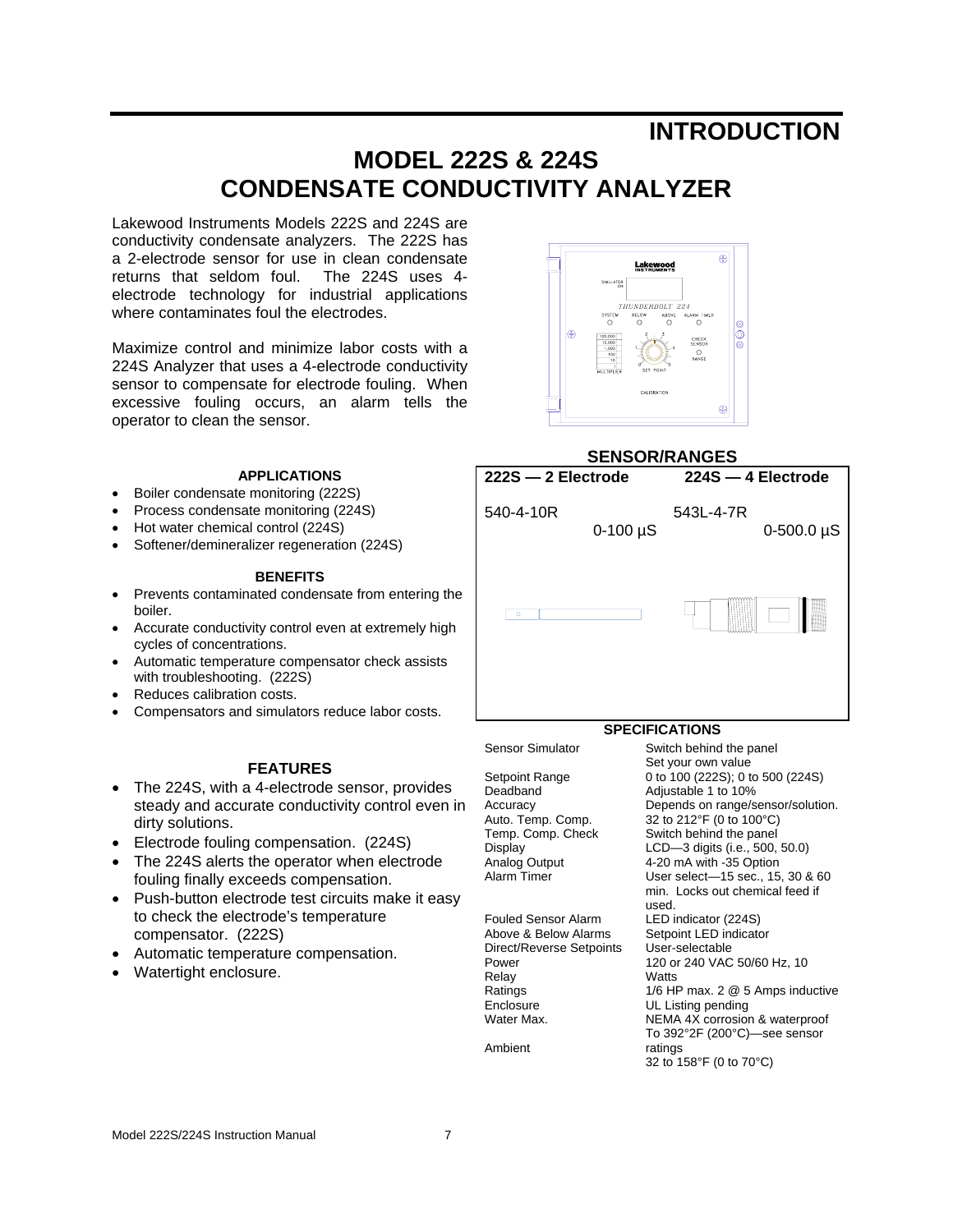### **INTRODUCTION**

### **MODEL 222S & 224S CONDENSATE CONDUCTIVITY ANALYZER**

Lakewood Instruments Models 222S and 224S are conductivity condensate analyzers. The 222S has a 2-electrode sensor for use in clean condensate returns that seldom foul. The 224S uses 4 electrode technology for industrial applications where contaminates foul the electrodes.

Maximize control and minimize labor costs with a 224S Analyzer that uses a 4-electrode conductivity sensor to compensate for electrode fouling. When excessive fouling occurs, an alarm tells the operator to clean the sensor.

#### **APPLICATIONS**

- Boiler condensate monitoring (222S)
- Process condensate monitoring (224S)
- Hot water chemical control (224S)
- Softener/demineralizer regeneration (224S)

#### **BENEFITS**

- Prevents contaminated condensate from entering the boiler.
- Accurate conductivity control even at extremely high cycles of concentrations.
- Automatic temperature compensator check assists with troubleshooting. (222S)
- Reduces calibration costs.
- Compensators and simulators reduce labor costs.

#### **FEATURES**

- The 224S, with a 4-electrode sensor, provides steady and accurate conductivity control even in dirty solutions.
- Electrode fouling compensation. (224S)
- The 224S alerts the operator when electrode fouling finally exceeds compensation.
- Push-button electrode test circuits make it easy to check the electrode's temperature compensator. (222S)
- Automatic temperature compensation.
- Watertight enclosure.



#### **SENSOR/RANGES**



Setpoint Range Deadband Accuracy Auto. Temp. Comp. Temp. Comp. Check Display Analog Output Alarm Timer

Fouled Sensor Alarm Above & Below Alarms Direct/Reverse Setpoints Power Relay **Ratings** Enclosure Water Max.

Ambient

Set your own value 0 to 100 (222S); 0 to 500 (224S) Adjustable 1 to 10% Depends on range/sensor/solution. 32 to 212°F (0 to 100°C) Switch behind the panel LCD—3 digits (i.e., 500, 50.0) 4-20 mA with -35 Option User select—15 sec., 15, 30 & 60 min. Locks out chemical feed if used. LED indicator (224S) Setpoint LED indicator User-selectable 120 or 240 VAC 50/60 Hz, 10 **Watts** 1/6 HP max. 2 @ 5 Amps inductive UL Listing pending NEMA 4X corrosion & waterproof To 392°2F (200°C)—see sensor ratings 32 to 158°F (0 to 70°C)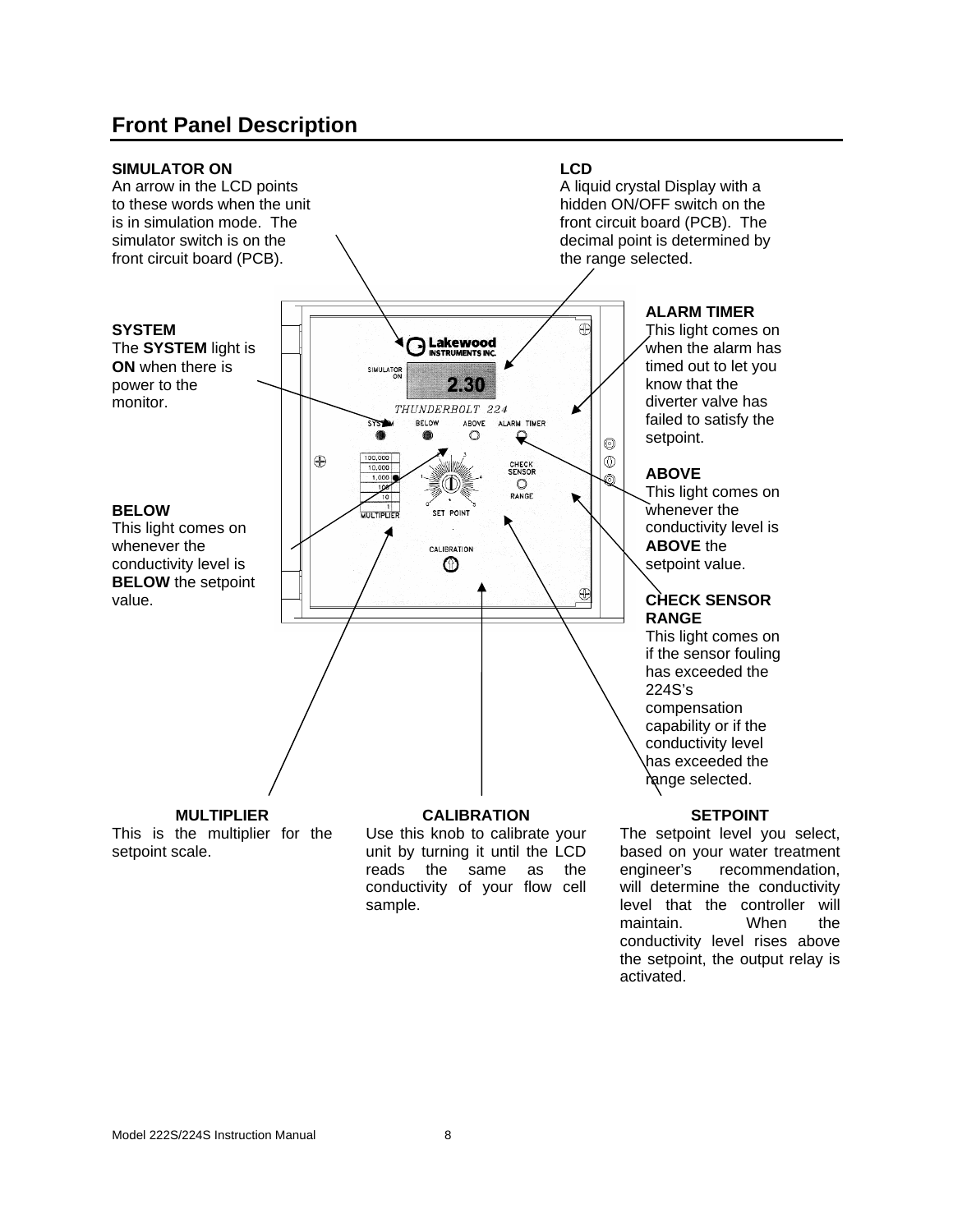### **Front Panel Description**



The setpoint level you select, based on your water treatment engineer's recommendation, will determine the conductivity level that the controller will maintain. When the conductivity level rises above the setpoint, the output relay is activated.

reads the same as the conductivity of your flow cell

sample.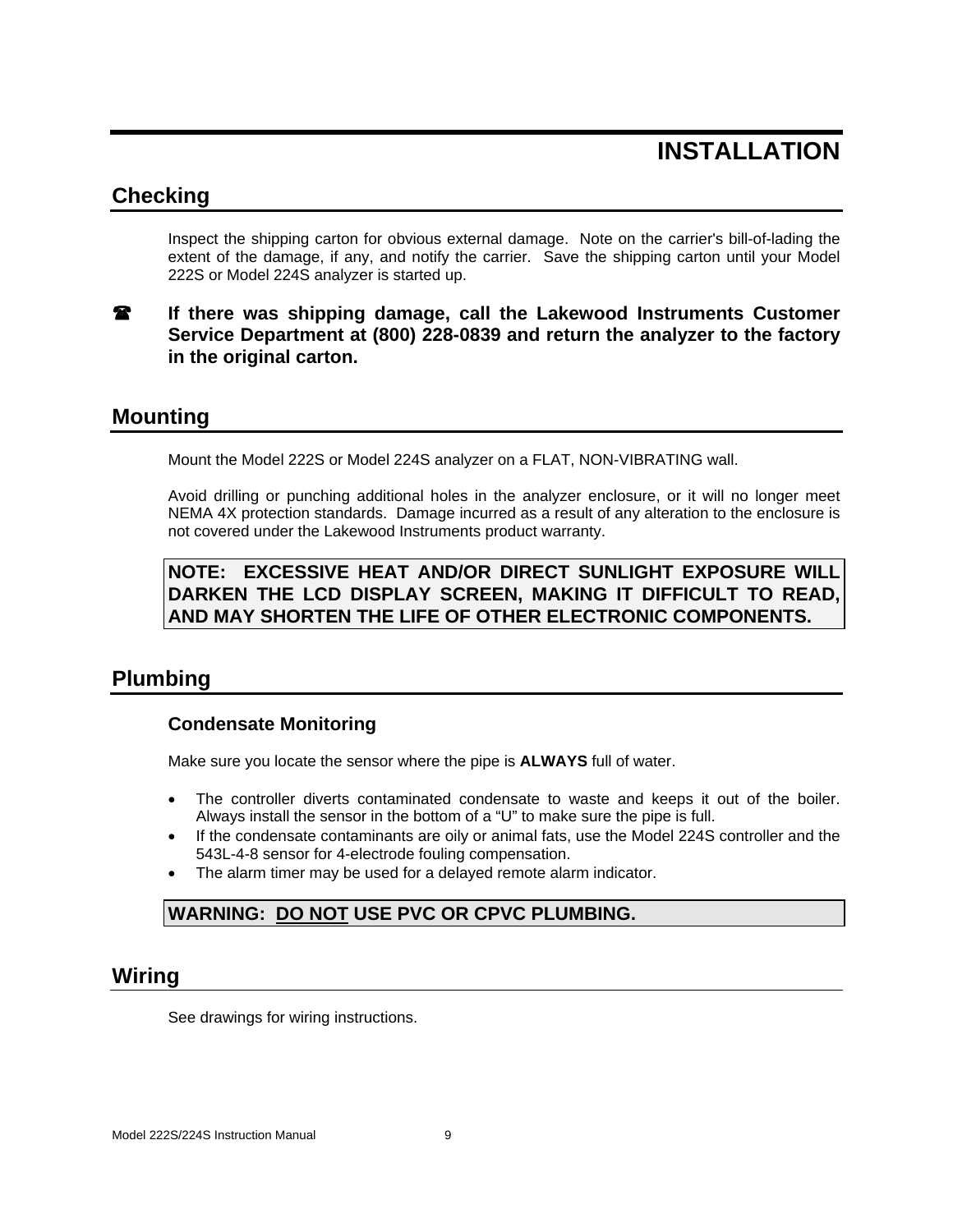## **INSTALLATION**

#### **Checking**

Inspect the shipping carton for obvious external damage. Note on the carrier's bill-of-lading the extent of the damage, if any, and notify the carrier. Save the shipping carton until your Model 222S or Model 224S analyzer is started up.

#### **If there was shipping damage, call the Lakewood Instruments Customer Service Department at (800) 228-0839 and return the analyzer to the factory in the original carton.**

#### **Mounting**

Mount the Model 222S or Model 224S analyzer on a FLAT, NON-VIBRATING wall.

Avoid drilling or punching additional holes in the analyzer enclosure, or it will no longer meet NEMA 4X protection standards. Damage incurred as a result of any alteration to the enclosure is not covered under the Lakewood Instruments product warranty.

**NOTE: EXCESSIVE HEAT AND/OR DIRECT SUNLIGHT EXPOSURE WILL DARKEN THE LCD DISPLAY SCREEN, MAKING IT DIFFICULT TO READ, AND MAY SHORTEN THE LIFE OF OTHER ELECTRONIC COMPONENTS.** 

### **Plumbing**

#### **Condensate Monitoring**

Make sure you locate the sensor where the pipe is **ALWAYS** full of water.

- The controller diverts contaminated condensate to waste and keeps it out of the boiler. Always install the sensor in the bottom of a "U" to make sure the pipe is full.
- If the condensate contaminants are oily or animal fats, use the Model 224S controller and the 543L-4-8 sensor for 4-electrode fouling compensation.
- The alarm timer may be used for a delayed remote alarm indicator.

#### **WARNING: DO NOT USE PVC OR CPVC PLUMBING.**

#### **Wiring**

See drawings for wiring instructions.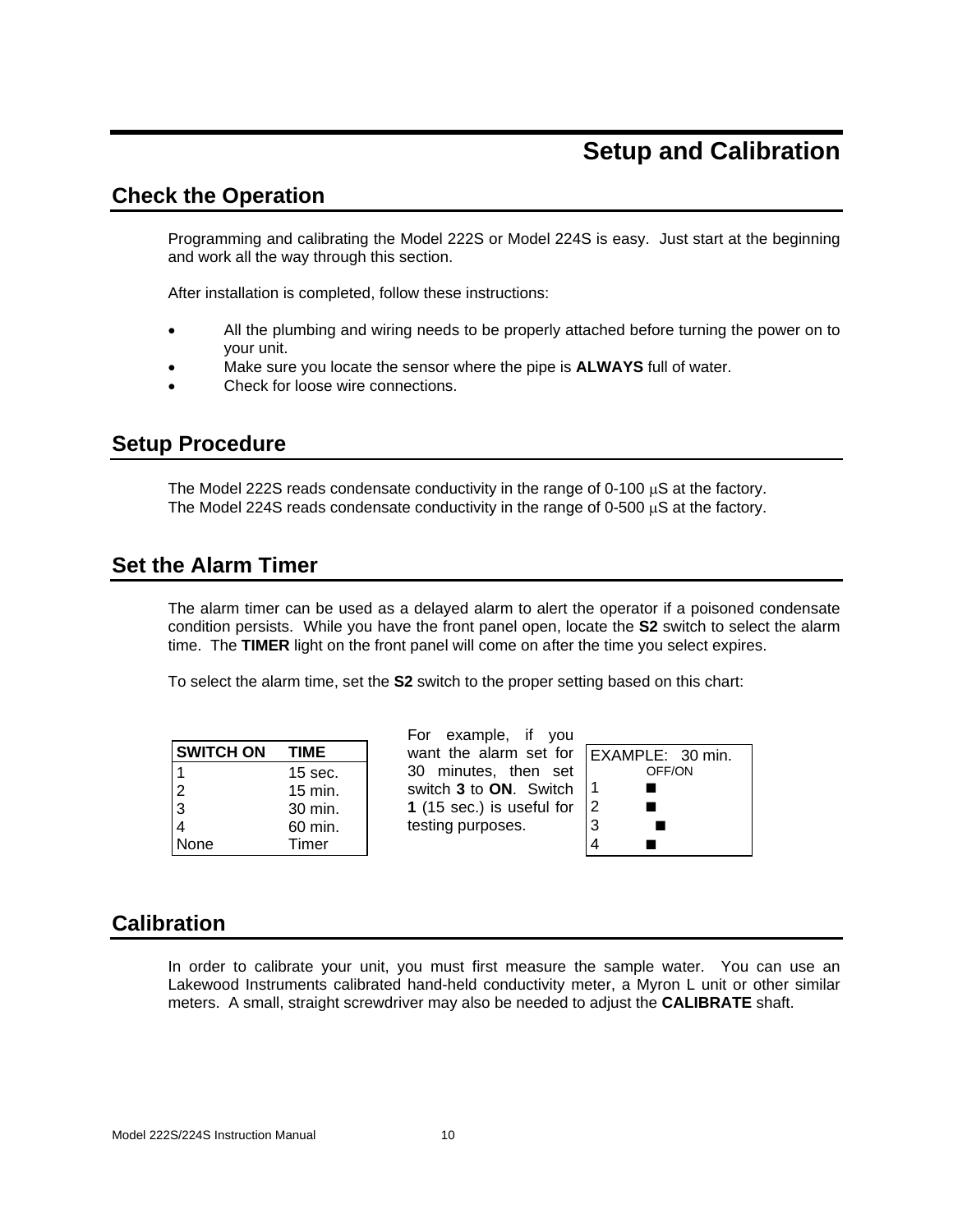### **Setup and Calibration**

#### **Check the Operation**

Programming and calibrating the Model 222S or Model 224S is easy. Just start at the beginning and work all the way through this section.

After installation is completed, follow these instructions:

- All the plumbing and wiring needs to be properly attached before turning the power on to your unit.
- Make sure you locate the sensor where the pipe is **ALWAYS** full of water.
- Check for loose wire connections.

#### **Setup Procedure**

The Model 222S reads condensate conductivity in the range of 0-100  $\mu$ S at the factory. The Model 224S reads condensate conductivity in the range of 0-500  $\mu$ S at the factory.

#### **Set the Alarm Timer**

The alarm timer can be used as a delayed alarm to alert the operator if a poisoned condensate condition persists. While you have the front panel open, locate the **S2** switch to select the alarm time. The **TIMER** light on the front panel will come on after the time you select expires.

To select the alarm time, set the **S2** switch to the proper setting based on this chart:

| <b>SWITCH ON</b> | TIME      |
|------------------|-----------|
|                  | $15$ sec. |
| $\frac{2}{3}$    | 15 min.   |
|                  | 30 min.   |
|                  | 60 min.   |
| None             | Timer     |

For example, if you want the alarm set for 30 minutes, then set switch **3** to **ON**. Switch **1** (15 sec.) is useful for testing purposes.

|                | EXAMPLE: 30 min. |
|----------------|------------------|
|                | OFF/ON           |
|                |                  |
| $\overline{c}$ |                  |
| 3              |                  |
|                |                  |
|                |                  |

#### **Calibration**

In order to calibrate your unit, you must first measure the sample water. You can use an Lakewood Instruments calibrated hand-held conductivity meter, a Myron L unit or other similar meters. A small, straight screwdriver may also be needed to adjust the **CALIBRATE** shaft.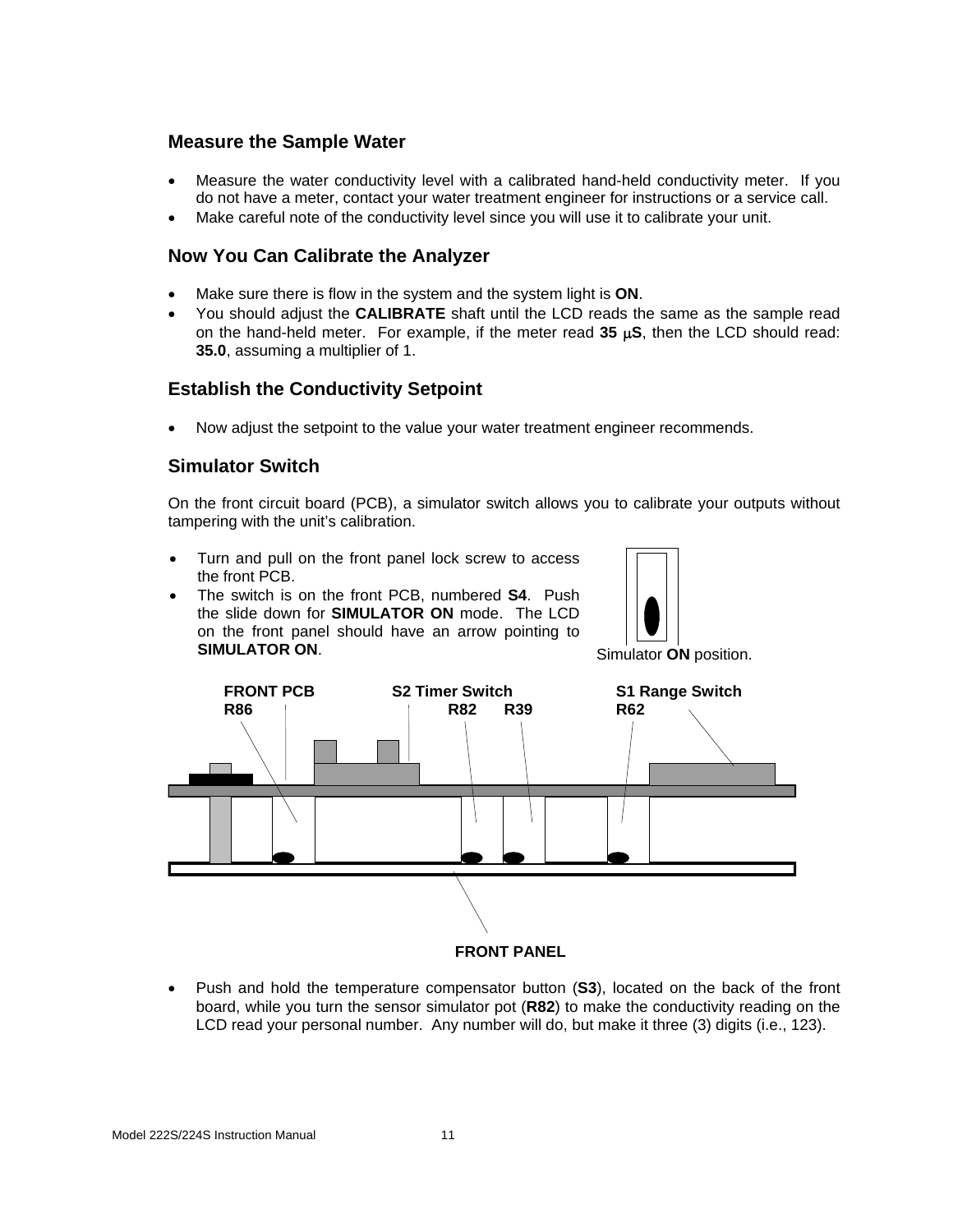#### **Measure the Sample Water**

- Measure the water conductivity level with a calibrated hand-held conductivity meter. If you do not have a meter, contact your water treatment engineer for instructions or a service call.
- Make careful note of the conductivity level since you will use it to calibrate your unit.

#### **Now You Can Calibrate the Analyzer**

- Make sure there is flow in the system and the system light is **ON**.
- You should adjust the **CALIBRATE** shaft until the LCD reads the same as the sample read on the hand-held meter. For example, if the meter read **35** µ**S**, then the LCD should read: **35.0**, assuming a multiplier of 1.

#### **Establish the Conductivity Setpoint**

• Now adjust the setpoint to the value your water treatment engineer recommends.

#### **Simulator Switch**

On the front circuit board (PCB), a simulator switch allows you to calibrate your outputs without tampering with the unit's calibration.

- Turn and pull on the front panel lock screw to access the front PCB.
- The switch is on the front PCB, numbered **S4**. Push the slide down for **SIMULATOR ON** mode. The LCD on the front panel should have an arrow pointing to **SIMULATOR ON.** Simulator **ON** position.





• Push and hold the temperature compensator button (**S3**), located on the back of the front board, while you turn the sensor simulator pot (**R82**) to make the conductivity reading on the LCD read your personal number. Any number will do, but make it three (3) digits (i.e., 123).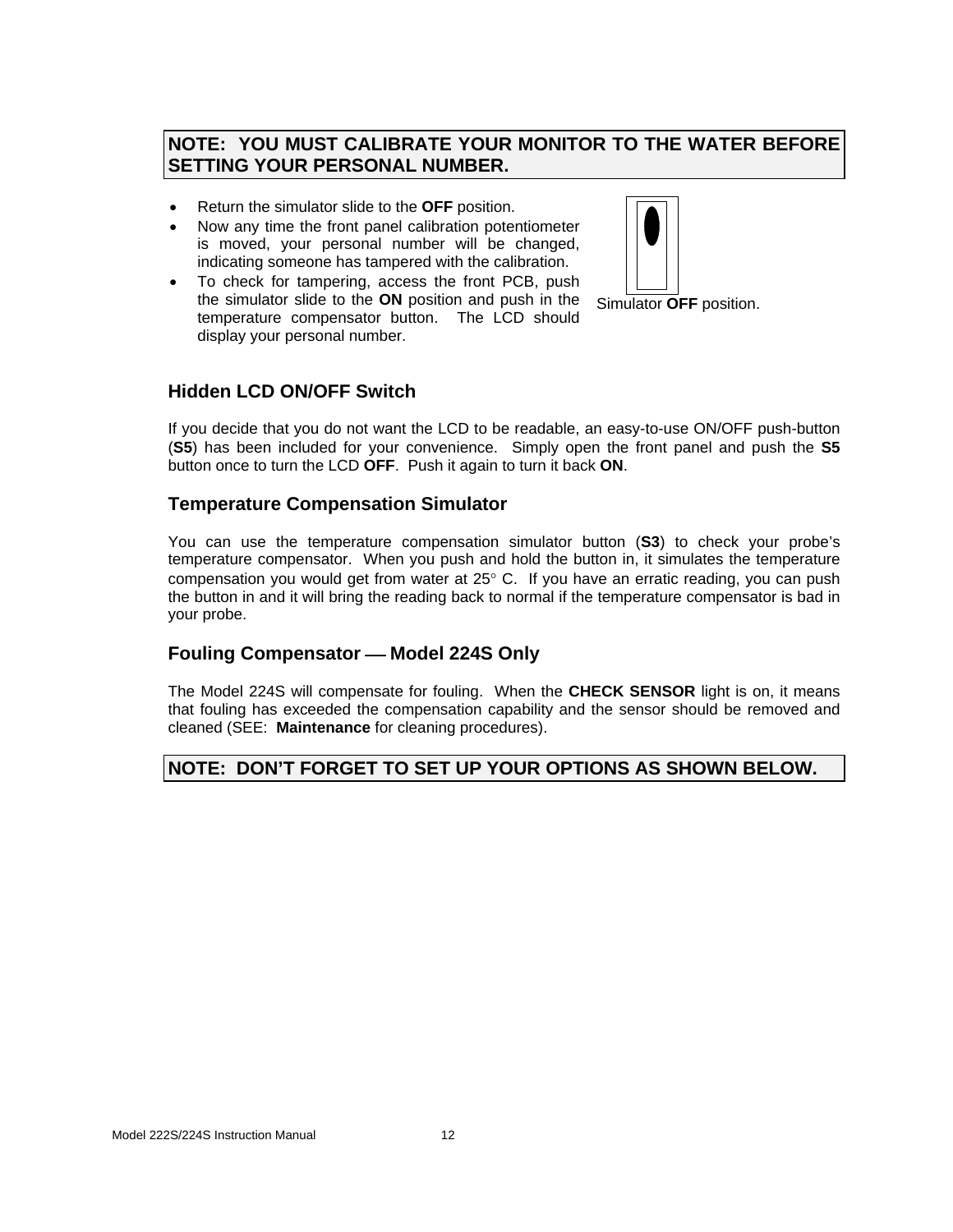#### **NOTE: YOU MUST CALIBRATE YOUR MONITOR TO THE WATER BEFORE SETTING YOUR PERSONAL NUMBER.**

- Return the simulator slide to the **OFF** position.
- Now any time the front panel calibration potentiometer is moved, your personal number will be changed, indicating someone has tampered with the calibration.
- To check for tampering, access the front PCB, push the simulator slide to the **ON** position and push in the temperature compensator button. The LCD should display your personal number.



Simulator **OFF** position.

#### **Hidden LCD ON/OFF Switch**

If you decide that you do not want the LCD to be readable, an easy-to-use ON/OFF push-button (**S5**) has been included for your convenience. Simply open the front panel and push the **S5** button once to turn the LCD **OFF**. Push it again to turn it back **ON**.

#### **Temperature Compensation Simulator**

You can use the temperature compensation simulator button (**S3**) to check your probe's temperature compensator. When you push and hold the button in, it simulates the temperature compensation you would get from water at 25° C. If you have an erratic reading, you can push the button in and it will bring the reading back to normal if the temperature compensator is bad in your probe.

#### **Fouling Compensator — Model 224S Only**

The Model 224S will compensate for fouling. When the **CHECK SENSOR** light is on, it means that fouling has exceeded the compensation capability and the sensor should be removed and cleaned (SEE: **Maintenance** for cleaning procedures).

#### **NOTE: DON'T FORGET TO SET UP YOUR OPTIONS AS SHOWN BELOW.**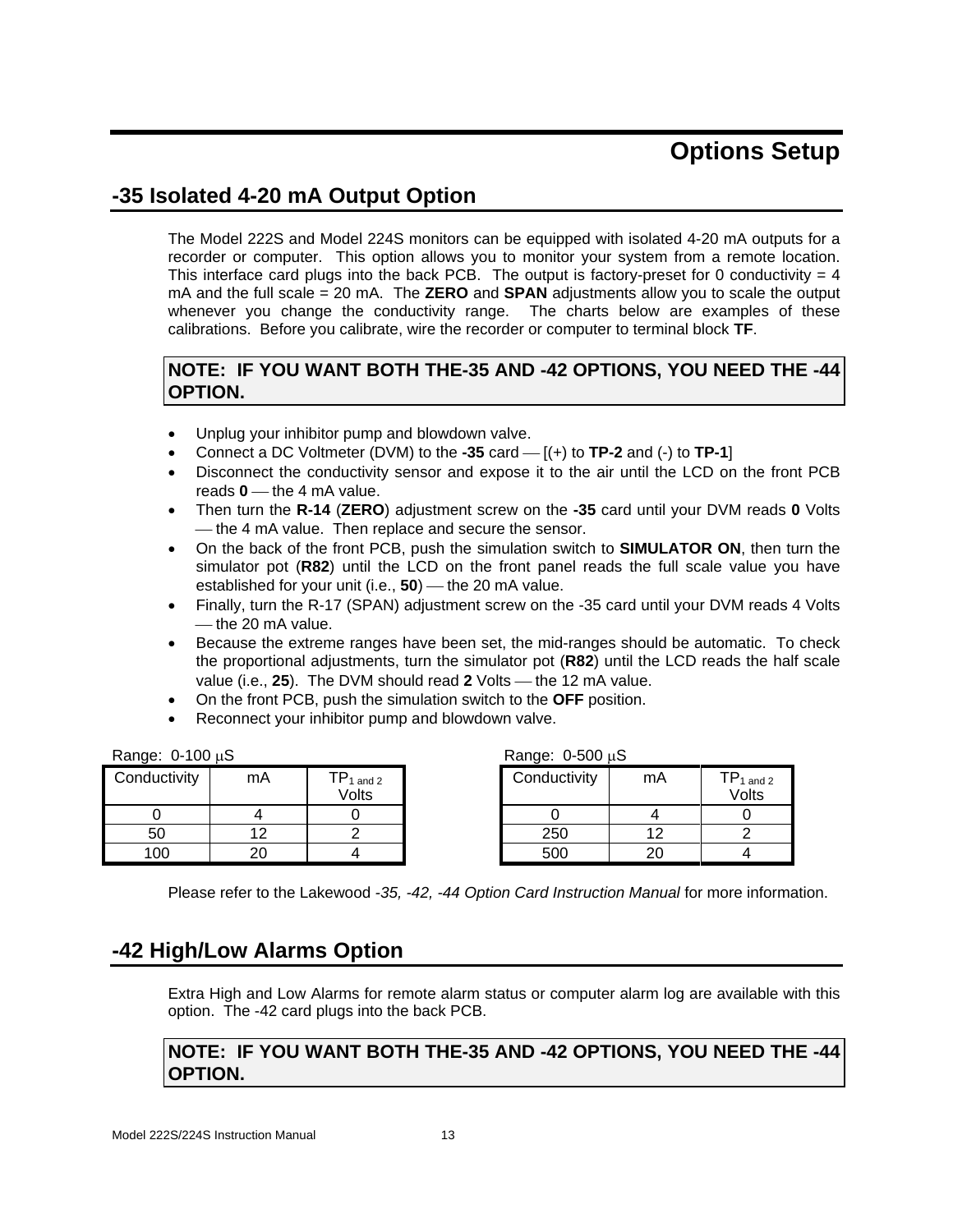## **Options Setup**

### **-35 Isolated 4-20 mA Output Option**

The Model 222S and Model 224S monitors can be equipped with isolated 4-20 mA outputs for a recorder or computer. This option allows you to monitor your system from a remote location. This interface card plugs into the back PCB. The output is factory-preset for 0 conductivity  $= 4$ mA and the full scale = 20 mA. The **ZERO** and **SPAN** adjustments allow you to scale the output whenever you change the conductivity range. The charts below are examples of these calibrations. Before you calibrate, wire the recorder or computer to terminal block **TF**.

#### **NOTE: IF YOU WANT BOTH THE-35 AND -42 OPTIONS, YOU NEED THE -44 OPTION.**

- Unplug your inhibitor pump and blowdown valve.
- Connect a DC Voltmeter (DVM) to the  $-35$  card  $[ (+)$  to **TP-2** and  $(-)$  to **TP-1**]
- Disconnect the conductivity sensor and expose it to the air until the LCD on the front PCB reads  $0$  — the 4 mA value.
- Then turn the **R-14** (**ZERO**) adjustment screw on the **-35** card until your DVM reads **0** Volts — the 4 mA value. Then replace and secure the sensor.
- On the back of the front PCB, push the simulation switch to **SIMULATOR ON**, then turn the simulator pot (**R82**) until the LCD on the front panel reads the full scale value you have established for your unit (i.e., 50) — the 20 mA value.
- Finally, turn the R-17 (SPAN) adjustment screw on the -35 card until your DVM reads 4 Volts ⎯ the 20 mA value.
- Because the extreme ranges have been set, the mid-ranges should be automatic. To check the proportional adjustments, turn the simulator pot (**R82**) until the LCD reads the half scale value (i.e., 25). The DVM should read 2 Volts — the 12 mA value.
- On the front PCB, push the simulation switch to the **OFF** position.
- Reconnect your inhibitor pump and blowdown valve.

| Range: $0-100 \mu S$ | Range: $0-500 \mu S$ |
|----------------------|----------------------|
|                      |                      |

| Conductivity | mA       | $\mathsf{tp}_{1 \text{ and } 2}$<br>Volts | Conductivity | mA | $\mathsf{TP}_1$<br>Vol |
|--------------|----------|-------------------------------------------|--------------|----|------------------------|
|              |          |                                           |              |    |                        |
| 50           | 1 ຕ      |                                           | 250          |    |                        |
| 100          | ∩∩<br>∠∪ |                                           | 500          | 20 |                        |

| Range: $0-500 \mu S$ |    |                                  |
|----------------------|----|----------------------------------|
| Conductivity         | mA | $TP_{1 \text{ and } 2}$<br>Volts |
|                      |    |                                  |
| 250                  | 12 |                                  |
|                      |    |                                  |

Please refer to the Lakewood *-35, -42, -44 Option Card Instruction Manual* for more information.

### **-42 High/Low Alarms Option**

Extra High and Low Alarms for remote alarm status or computer alarm log are available with this option. The -42 card plugs into the back PCB.

#### **NOTE: IF YOU WANT BOTH THE-35 AND -42 OPTIONS, YOU NEED THE -44 OPTION.**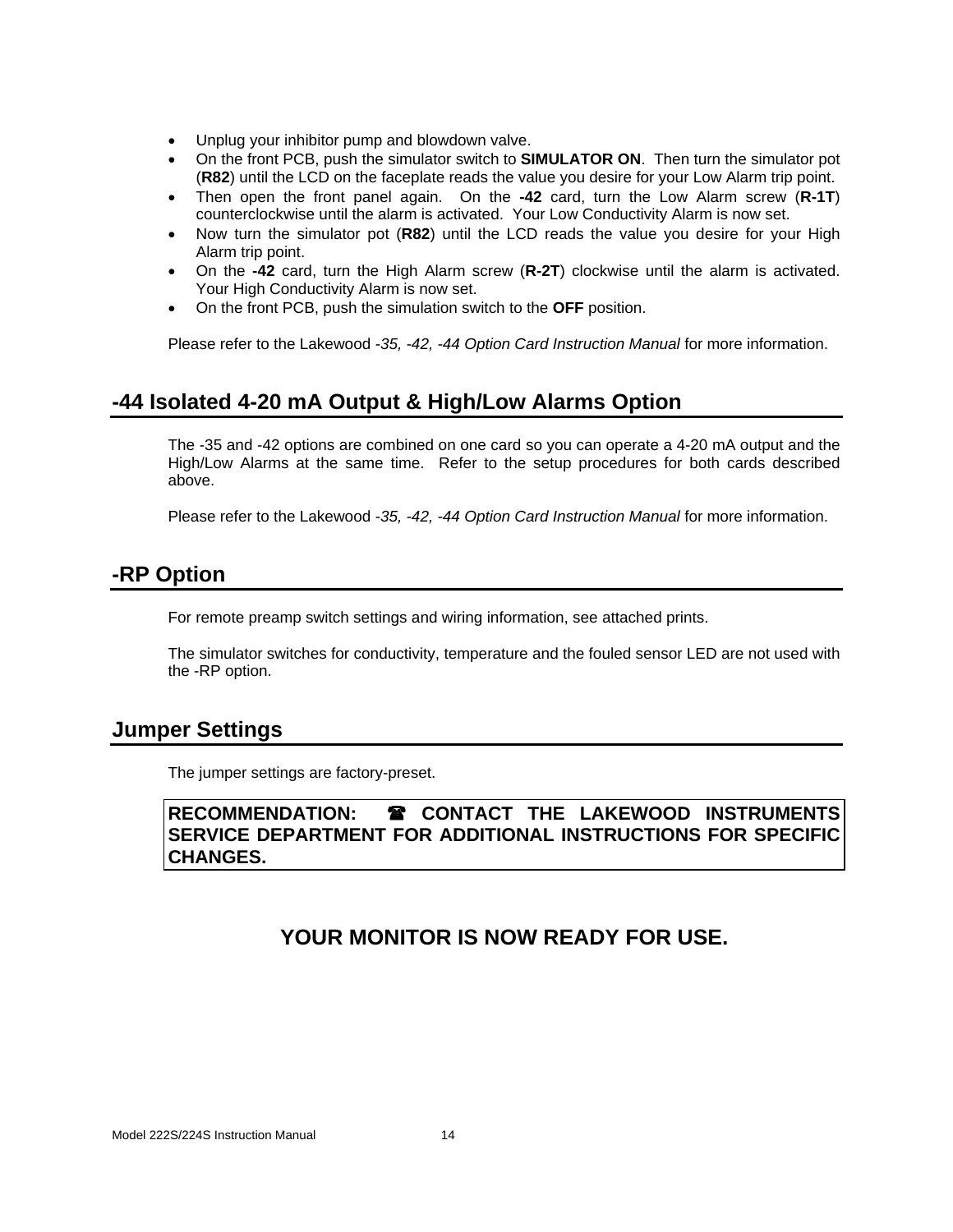- Unplug your inhibitor pump and blowdown valve.
- On the front PCB, push the simulator switch to **SIMULATOR ON**. Then turn the simulator pot (**R82**) until the LCD on the faceplate reads the value you desire for your Low Alarm trip point.
- Then open the front panel again. On the **-42** card, turn the Low Alarm screw (**R-1T**) counterclockwise until the alarm is activated. Your Low Conductivity Alarm is now set.
- Now turn the simulator pot (**R82**) until the LCD reads the value you desire for your High Alarm trip point.
- On the **-42** card, turn the High Alarm screw (**R-2T**) clockwise until the alarm is activated. Your High Conductivity Alarm is now set.
- On the front PCB, push the simulation switch to the **OFF** position.

Please refer to the Lakewood *-35, -42, -44 Option Card Instruction Manual* for more information.

### **-44 Isolated 4-20 mA Output & High/Low Alarms Option**

The -35 and -42 options are combined on one card so you can operate a 4-20 mA output and the High/Low Alarms at the same time. Refer to the setup procedures for both cards described above.

Please refer to the Lakewood *-35, -42, -44 Option Card Instruction Manual* for more information.

#### **-RP Option**

For remote preamp switch settings and wiring information, see attached prints.

The simulator switches for conductivity, temperature and the fouled sensor LED are not used with the -RP option.

#### **Jumper Settings**

The jumper settings are factory-preset.

#### **RECOMMENDATION: CONTACT THE LAKEWOOD INSTRUMENTS SERVICE DEPARTMENT FOR ADDITIONAL INSTRUCTIONS FOR SPECIFIC CHANGES.**

### **YOUR MONITOR IS NOW READY FOR USE.**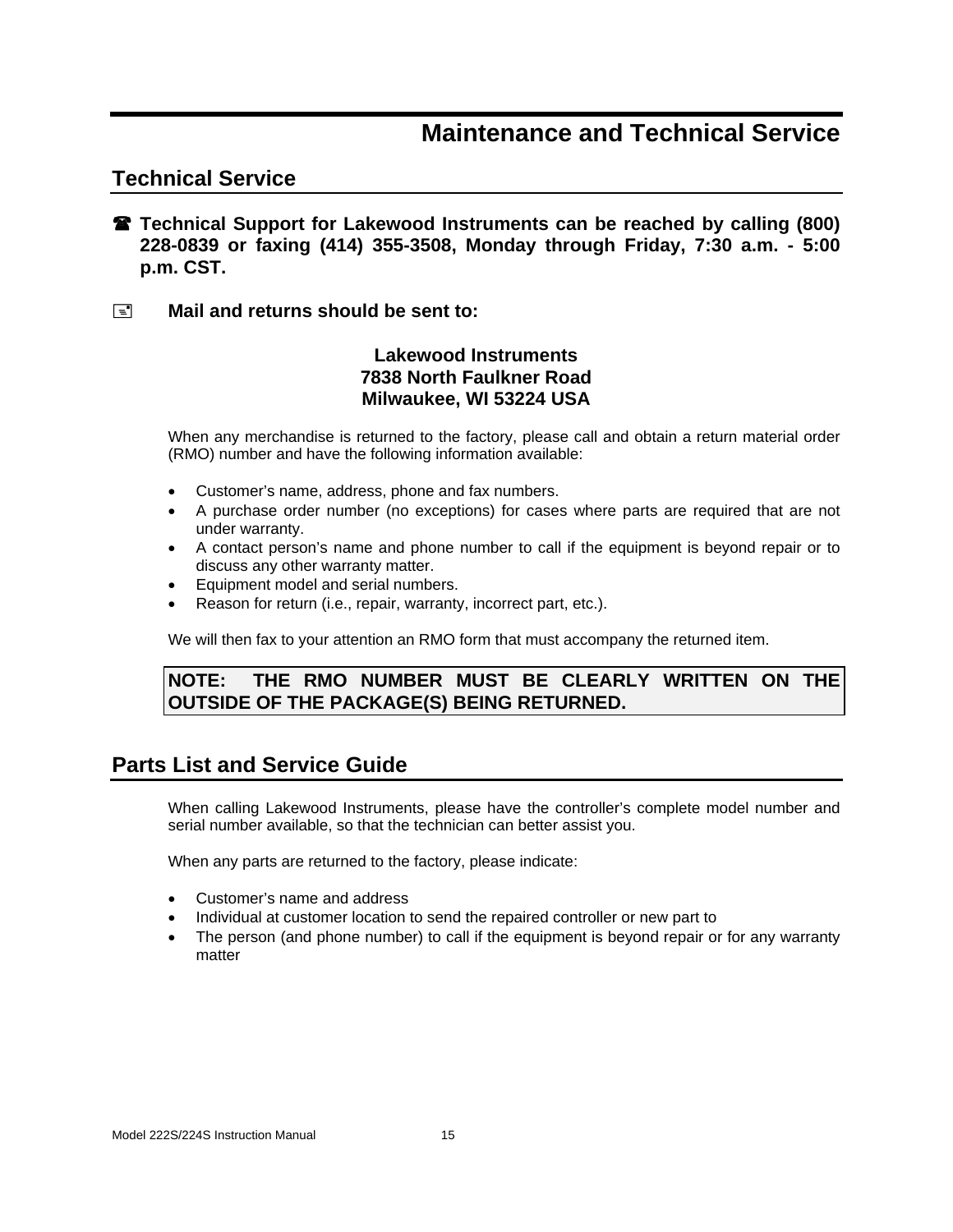### **Maintenance and Technical Service**

### **Technical Service**

- **Technical Support for Lakewood Instruments can be reached by calling (800) 228-0839 or faxing (414) 355-3508, Monday through Friday, 7:30 a.m. - 5:00 p.m. CST.**
- **Mail and returns should be sent to:**

#### **Lakewood Instruments 7838 North Faulkner Road Milwaukee, WI 53224 USA**

When any merchandise is returned to the factory, please call and obtain a return material order (RMO) number and have the following information available:

- Customer's name, address, phone and fax numbers.
- A purchase order number (no exceptions) for cases where parts are required that are not under warranty.
- A contact person's name and phone number to call if the equipment is beyond repair or to discuss any other warranty matter.
- Equipment model and serial numbers.
- Reason for return (i.e., repair, warranty, incorrect part, etc.).

We will then fax to your attention an RMO form that must accompany the returned item.

#### **NOTE: THE RMO NUMBER MUST BE CLEARLY WRITTEN ON THE OUTSIDE OF THE PACKAGE(S) BEING RETURNED.**

### **Parts List and Service Guide**

When calling Lakewood Instruments, please have the controller's complete model number and serial number available, so that the technician can better assist you.

When any parts are returned to the factory, please indicate:

- Customer's name and address
- Individual at customer location to send the repaired controller or new part to
- The person (and phone number) to call if the equipment is beyond repair or for any warranty matter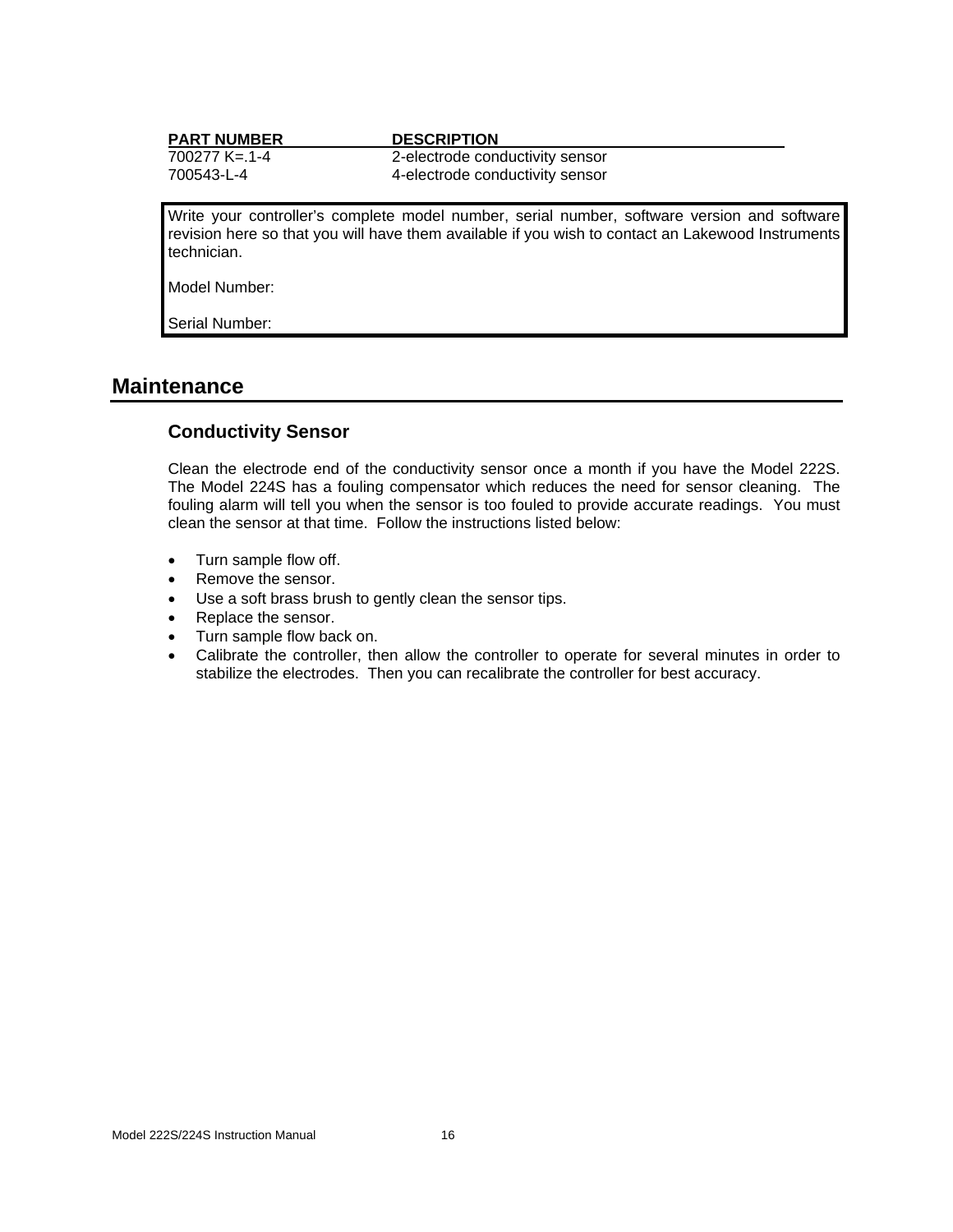| <b>PART NUMBER</b> | <b>DESCRIPTION</b>                                                                                                                                                                               |
|--------------------|--------------------------------------------------------------------------------------------------------------------------------------------------------------------------------------------------|
| 700277 K= 1-4      | 2-electrode conductivity sensor                                                                                                                                                                  |
| 700543-L-4         | 4-electrode conductivity sensor                                                                                                                                                                  |
|                    |                                                                                                                                                                                                  |
| technician.        | Write your controller's complete model number, serial number, software version and software<br>revision here so that you will have them available if you wish to contact an Lakewood Instruments |
| Model Number:      |                                                                                                                                                                                                  |
| Serial Number:     |                                                                                                                                                                                                  |

#### **Maintenance**

#### **Conductivity Sensor**

Clean the electrode end of the conductivity sensor once a month if you have the Model 222S. The Model 224S has a fouling compensator which reduces the need for sensor cleaning. The fouling alarm will tell you when the sensor is too fouled to provide accurate readings. You must clean the sensor at that time. Follow the instructions listed below:

- Turn sample flow off.
- Remove the sensor.
- Use a soft brass brush to gently clean the sensor tips.
- Replace the sensor.
- Turn sample flow back on.
- Calibrate the controller, then allow the controller to operate for several minutes in order to stabilize the electrodes. Then you can recalibrate the controller for best accuracy.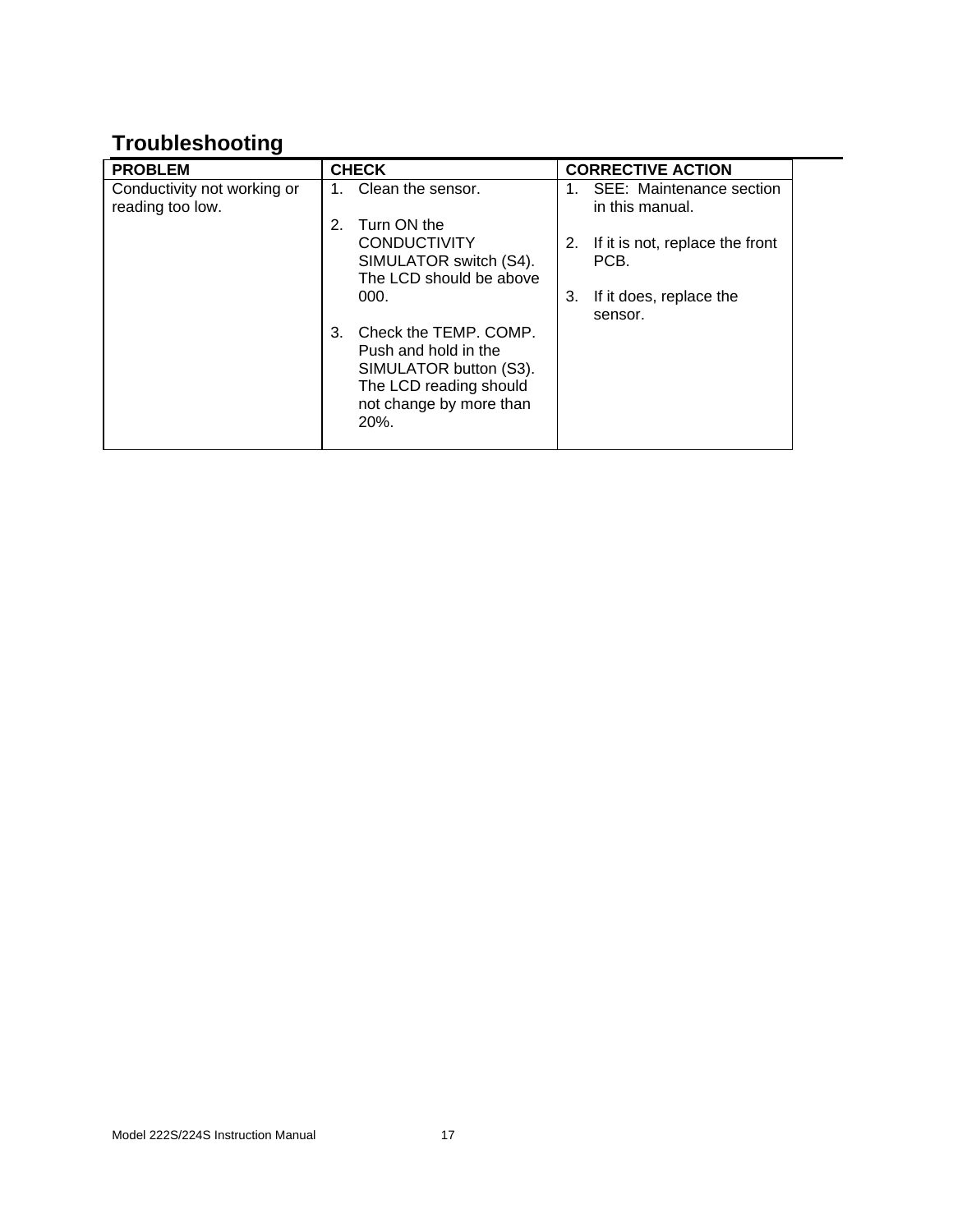## **Troubleshooting**

| <b>PROBLEM</b>                                  | <b>CHECK</b>                                                                                                                                  | <b>CORRECTIVE ACTION</b>                      |
|-------------------------------------------------|-----------------------------------------------------------------------------------------------------------------------------------------------|-----------------------------------------------|
| Conductivity not working or<br>reading too low. | Clean the sensor.                                                                                                                             | SEE: Maintenance section<br>in this manual.   |
|                                                 | Turn ON the<br>2.<br><b>CONDUCTIVITY</b><br>SIMULATOR switch (S4).<br>The LCD should be above                                                 | If it is not, replace the front<br>2.<br>PCB. |
|                                                 | 000.                                                                                                                                          | If it does, replace the<br>3.<br>sensor.      |
|                                                 | Check the TEMP, COMP.<br>3.<br>Push and hold in the<br>SIMULATOR button (S3).<br>The LCD reading should<br>not change by more than<br>$20%$ . |                                               |